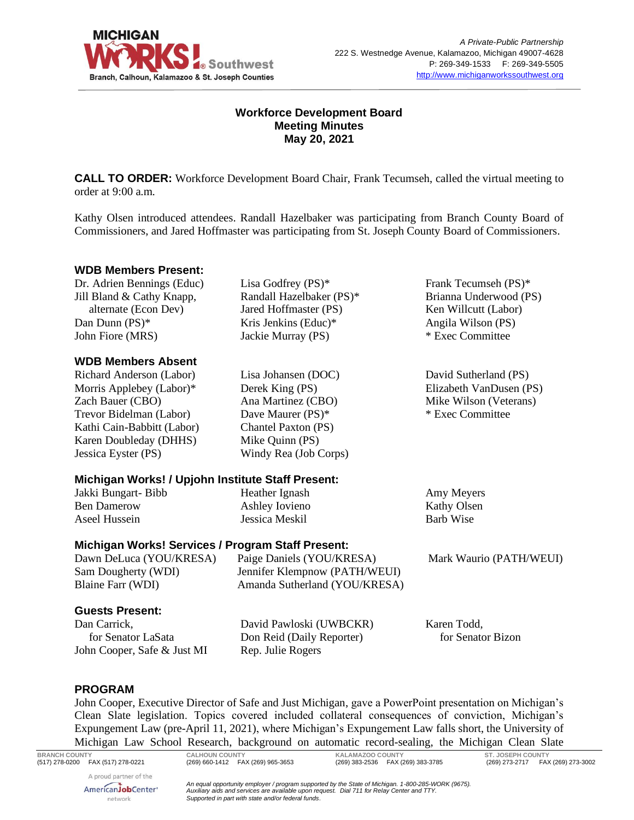

# **Workforce Development Board Meeting Minutes May 20, 2021**

**CALL TO ORDER:** Workforce Development Board Chair, Frank Tecumseh, called the virtual meeting to order at 9:00 a.m.

Kathy Olsen introduced attendees. Randall Hazelbaker was participating from Branch County Board of Commissioners, and Jared Hoffmaster was participating from St. Joseph County Board of Commissioners.

#### **WDB Members Present:**

Dr. Adrien Bennings (Educ) Jill Bland & Cathy Knapp, alternate (Econ Dev) Dan Dunn (PS)\* John Fiore (MRS)

#### **WDB Members Absent**

Richard Anderson (Labor) Morris Applebey (Labor)\* Zach Bauer (CBO) Trevor Bidelman (Labor) Kathi Cain-Babbitt (Labor) Karen Doubleday (DHHS) Jessica Eyster (PS)

Kris Jenkins (Educ)\* Jackie Murray (PS) Lisa Johansen (DOC)

Lisa Godfrey (PS)\* Randall Hazelbaker (PS)\* Jared Hoffmaster (PS)

Derek King (PS) Ana Martinez (CBO) Dave Maurer (PS)\* Chantel Paxton (PS) Mike Quinn (PS) Windy Rea (Job Corps) Frank Tecumseh (PS)\* Brianna Underwood (PS) Ken Willcutt (Labor) Angila Wilson (PS) \* Exec Committee

David Sutherland (PS) Elizabeth VanDusen (PS) Mike Wilson (Veterans) \* Exec Committee

# **Michigan Works! / Upjohn Institute Staff Present:**

Jakki Bungart- Bibb Ben Damerow Aseel Hussein

Heather Ignash Ashley Iovieno Jessica Meskil

Amy Meyers Kathy Olsen Barb Wise

# **Michigan Works! Services / Program Staff Present:**

Dawn DeLuca (YOU/KRESA) Sam Dougherty (WDI) Blaine Farr (WDI) Paige Daniels (YOU/KRESA) Jennifer Klempnow (PATH/WEUI) Amanda Sutherland (YOU/KRESA) Mark Waurio (PATH/WEUI)

# **Guests Present:**

Dan Carrick, for Senator LaSata John Cooper, Safe & Just MI

David Pawloski (UWBCKR) Don Reid (Daily Reporter) Rep. Julie Rogers

Karen Todd, for Senator Bizon

#### **PROGRAM**

John Cooper, Executive Director of Safe and Just Michigan, gave a PowerPoint presentation on Michigan's Clean Slate legislation. Topics covered included collateral consequences of conviction, Michigan's Expungement Law (pre-April 11, 2021), where Michigan's Expungement Law falls short, the University of Michigan Law School Research, background on automatic record-sealing, the Michigan Clean Slate

**BRANCH COUNTY CALHOUN COUNTY KALAMAZOO COUNTY ST. JOSEPH COUNTY**

A proud partner of the AmericanJobCenter\* network

*An equal opportunity employer / program supported by the State of Michigan. 1-800-285-WORK (9675). Auxiliary aids and services are available upon request. Dial 711 for Relay Center and TTY. Supported in part with state and/or federal funds.*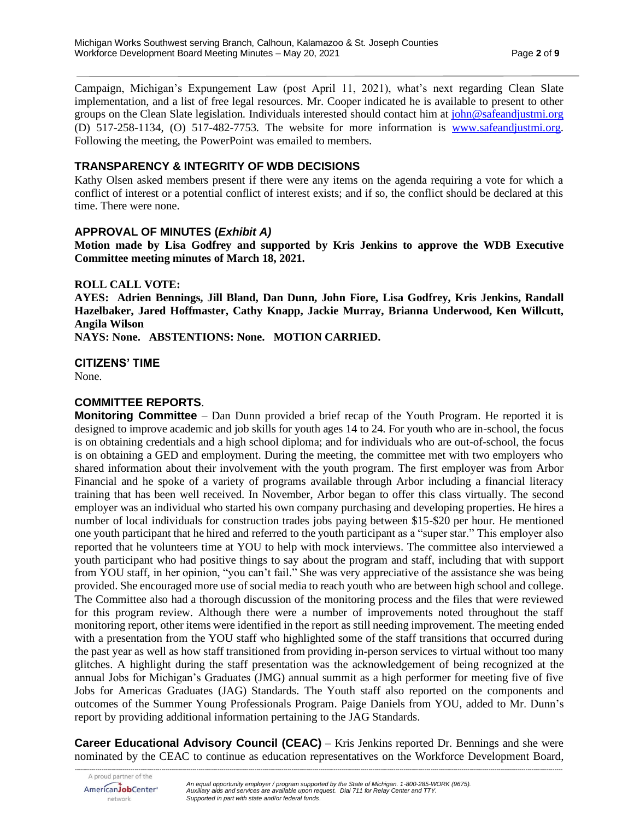Campaign, Michigan's Expungement Law (post April 11, 2021), what's next regarding Clean Slate implementation, and a list of free legal resources. Mr. Cooper indicated he is available to present to other groups on the Clean Slate legislation. Individuals interested should contact him at [john@safeandjustmi.org](mailto:john@safeandjustmi.org) (D) 517-258-1134, (O) 517-482-7753. The website for more information is [www.safeandjustmi.org.](http://www.safeandjustmi.org/) Following the meeting, the PowerPoint was emailed to members.

## **TRANSPARENCY & INTEGRITY OF WDB DECISIONS**

Kathy Olsen asked members present if there were any items on the agenda requiring a vote for which a conflict of interest or a potential conflict of interest exists; and if so, the conflict should be declared at this time. There were none.

### **APPROVAL OF MINUTES (***Exhibit A)*

**Motion made by Lisa Godfrey and supported by Kris Jenkins to approve the WDB Executive Committee meeting minutes of March 18, 2021.**

#### **ROLL CALL VOTE:**

**AYES: Adrien Bennings, Jill Bland, Dan Dunn, John Fiore, Lisa Godfrey, Kris Jenkins, Randall Hazelbaker, Jared Hoffmaster, Cathy Knapp, Jackie Murray, Brianna Underwood, Ken Willcutt, Angila Wilson**

**NAYS: None. ABSTENTIONS: None. MOTION CARRIED.**

**CITIZENS' TIME**

network

None.

### **COMMITTEE REPORTS**.

**Monitoring Committee** – Dan Dunn provided a brief recap of the Youth Program. He reported it is designed to improve academic and job skills for youth ages 14 to 24. For youth who are in-school, the focus is on obtaining credentials and a high school diploma; and for individuals who are out-of-school, the focus is on obtaining a GED and employment. During the meeting, the committee met with two employers who shared information about their involvement with the youth program. The first employer was from Arbor Financial and he spoke of a variety of programs available through Arbor including a financial literacy training that has been well received. In November, Arbor began to offer this class virtually. The second employer was an individual who started his own company purchasing and developing properties. He hires a number of local individuals for construction trades jobs paying between \$15-\$20 per hour. He mentioned one youth participant that he hired and referred to the youth participant as a "super star." This employer also reported that he volunteers time at YOU to help with mock interviews. The committee also interviewed a youth participant who had positive things to say about the program and staff, including that with support from YOU staff, in her opinion, "you can't fail." She was very appreciative of the assistance she was being provided. She encouraged more use of social media to reach youth who are between high school and college. The Committee also had a thorough discussion of the monitoring process and the files that were reviewed for this program review. Although there were a number of improvements noted throughout the staff monitoring report, other items were identified in the report as still needing improvement. The meeting ended with a presentation from the YOU staff who highlighted some of the staff transitions that occurred during the past year as well as how staff transitioned from providing in-person services to virtual without too many glitches. A highlight during the staff presentation was the acknowledgement of being recognized at the annual Jobs for Michigan's Graduates (JMG) annual summit as a high performer for meeting five of five Jobs for Americas Graduates (JAG) Standards. The Youth staff also reported on the components and outcomes of the Summer Young Professionals Program. Paige Daniels from YOU, added to Mr. Dunn's report by providing additional information pertaining to the JAG Standards.

*--------------------------------------------------------------------------------------------------------------------------------------------------------------------------------------------------------------------------------------------* **Career Educational Advisory Council (CEAC)** – Kris Jenkins reported Dr. Bennings and she were nominated by the CEAC to continue as education representatives on the Workforce Development Board,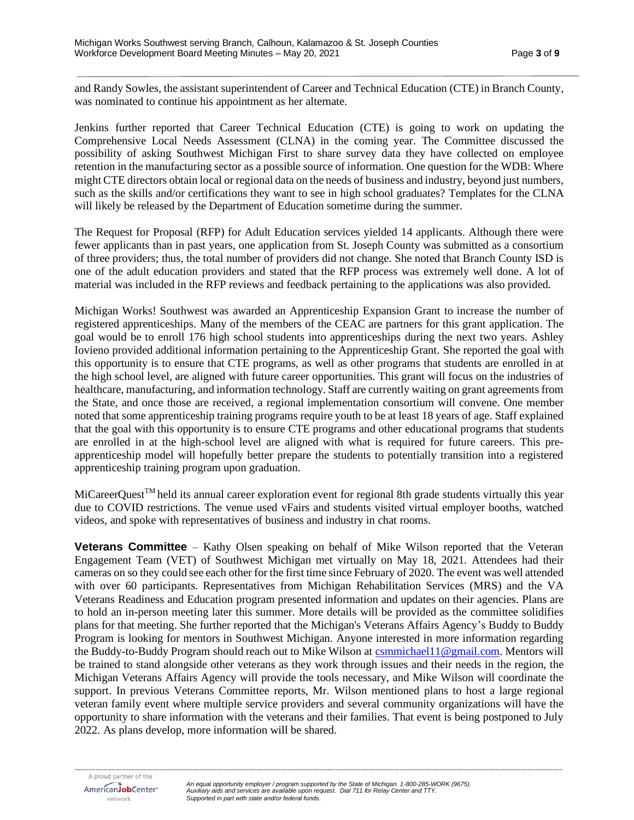and Randy Sowles, the assistant superintendent of Career and Technical Education (CTE) in Branch County, was nominated to continue his appointment as her alternate.

Jenkins further reported that Career Technical Education (CTE) is going to work on updating the Comprehensive Local Needs Assessment (CLNA) in the coming year. The Committee discussed the possibility of asking Southwest Michigan First to share survey data they have collected on employee retention in the manufacturing sector as a possible source of information. One question for the WDB: Where might CTE directors obtain local or regional data on the needs of business and industry, beyond just numbers, such as the skills and/or certifications they want to see in high school graduates? Templates for the CLNA will likely be released by the Department of Education sometime during the summer.

The Request for Proposal (RFP) for Adult Education services yielded 14 applicants. Although there were fewer applicants than in past years, one application from St. Joseph County was submitted as a consortium of three providers; thus, the total number of providers did not change. She noted that Branch County ISD is one of the adult education providers and stated that the RFP process was extremely well done. A lot of material was included in the RFP reviews and feedback pertaining to the applications was also provided.

Michigan Works! Southwest was awarded an Apprenticeship Expansion Grant to increase the number of registered apprenticeships. Many of the members of the CEAC are partners for this grant application. The goal would be to enroll 176 high school students into apprenticeships during the next two years. Ashley Iovieno provided additional information pertaining to the Apprenticeship Grant. She reported the goal with this opportunity is to ensure that CTE programs, as well as other programs that students are enrolled in at the high school level, are aligned with future career opportunities. This grant will focus on the industries of healthcare, manufacturing, and information technology. Staff are currently waiting on grant agreements from the State, and once those are received, a regional implementation consortium will convene. One member noted that some apprenticeship training programs require youth to be at least 18 years of age. Staff explained that the goal with this opportunity is to ensure CTE programs and other educational programs that students are enrolled in at the high-school level are aligned with what is required for future careers. This preapprenticeship model will hopefully better prepare the students to potentially transition into a registered apprenticeship training program upon graduation.

 $MiCareerOuest^{TM}$  held its annual career exploration event for regional 8th grade students virtually this year due to COVID restrictions. The venue used vFairs and students visited virtual employer booths, watched videos, and spoke with representatives of business and industry in chat rooms.

**Veterans Committee** – Kathy Olsen speaking on behalf of Mike Wilson reported that the Veteran Engagement Team (VET) of Southwest Michigan met virtually on May 18, 2021. Attendees had their cameras on so they could see each other for the first time since February of 2020. The event was well attended with over 60 participants. Representatives from Michigan Rehabilitation Services (MRS) and the VA Veterans Readiness and Education program presented information and updates on their agencies. Plans are to hold an in-person meeting later this summer. More details will be provided as the committee solidifies plans for that meeting. She further reported that the Michigan's Veterans Affairs Agency's Buddy to Buddy Program is looking for mentors in Southwest Michigan. Anyone interested in more information regarding the Buddy-to-Buddy Program should reach out to Mike Wilson at [csmmichael11@gmail.com.](mailto:csmmichael11@gmail.com) Mentors will be trained to stand alongside other veterans as they work through issues and their needs in the region, the Michigan Veterans Affairs Agency will provide the tools necessary, and Mike Wilson will coordinate the support. In previous Veterans Committee reports, Mr. Wilson mentioned plans to host a large regional veteran family event where multiple service providers and several community organizations will have the opportunity to share information with the veterans and their families. That event is being postponed to July 2022. As plans develop, more information will be shared.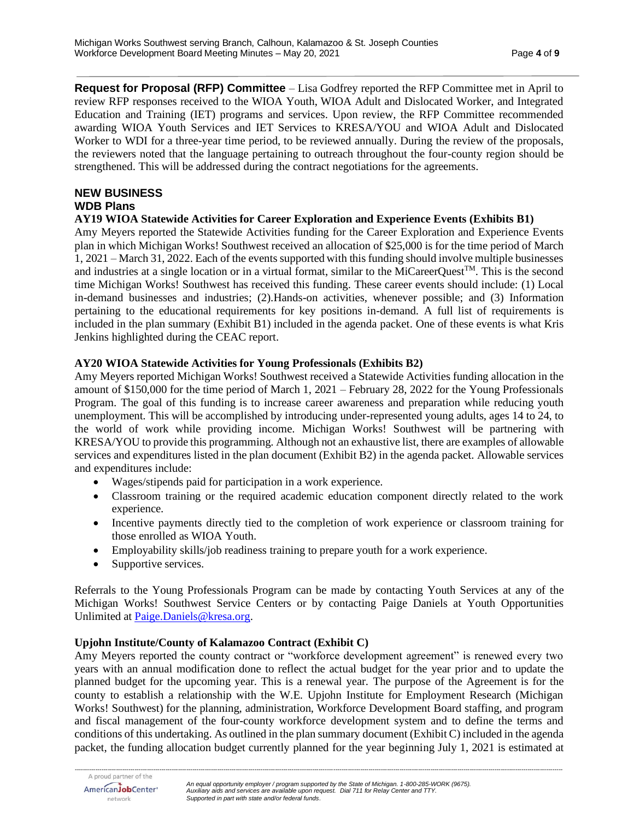**Request for Proposal (RFP) Committee** – Lisa Godfrey reported the RFP Committee met in April to review RFP responses received to the WIOA Youth, WIOA Adult and Dislocated Worker, and Integrated Education and Training (IET) programs and services. Upon review, the RFP Committee recommended awarding WIOA Youth Services and IET Services to KRESA/YOU and WIOA Adult and Dislocated Worker to WDI for a three-year time period, to be reviewed annually. During the review of the proposals, the reviewers noted that the language pertaining to outreach throughout the four-county region should be strengthened. This will be addressed during the contract negotiations for the agreements.

# **NEW BUSINESS WDB Plans**

**AY19 WIOA Statewide Activities for Career Exploration and Experience Events (Exhibits B1)**

Amy Meyers reported the Statewide Activities funding for the Career Exploration and Experience Events plan in which Michigan Works! Southwest received an allocation of \$25,000 is for the time period of March 1, 2021 – March 31, 2022. Each of the events supported with this funding should involve multiple businesses and industries at a single location or in a virtual format, similar to the MiCareerQuest<sup>TM</sup>. This is the second time Michigan Works! Southwest has received this funding. These career events should include: (1) Local in-demand businesses and industries; (2).Hands-on activities, whenever possible; and (3) Information pertaining to the educational requirements for key positions in-demand. A full list of requirements is included in the plan summary (Exhibit B1) included in the agenda packet. One of these events is what Kris Jenkins highlighted during the CEAC report.

### **AY20 WIOA Statewide Activities for Young Professionals (Exhibits B2)**

Amy Meyers reported Michigan Works! Southwest received a Statewide Activities funding allocation in the amount of \$150,000 for the time period of March 1, 2021 – February 28, 2022 for the Young Professionals Program. The goal of this funding is to increase career awareness and preparation while reducing youth unemployment. This will be accomplished by introducing under-represented young adults, ages 14 to 24, to the world of work while providing income. Michigan Works! Southwest will be partnering with KRESA/YOU to provide this programming. Although not an exhaustive list, there are examples of allowable services and expenditures listed in the plan document (Exhibit B2) in the agenda packet. Allowable services and expenditures include:

- Wages/stipends paid for participation in a work experience.
- Classroom training or the required academic education component directly related to the work experience.
- Incentive payments directly tied to the completion of work experience or classroom training for those enrolled as WIOA Youth.
- Employability skills/job readiness training to prepare youth for a work experience.
- Supportive services.

Referrals to the Young Professionals Program can be made by contacting Youth Services at any of the Michigan Works! Southwest Service Centers or by contacting Paige Daniels at Youth Opportunities Unlimited at [Paige.Daniels@kresa.org.](mailto:Paige.Daniels@kresa.org)

# **Upjohn Institute/County of Kalamazoo Contract (Exhibit C)**

Amy Meyers reported the county contract or "workforce development agreement" is renewed every two years with an annual modification done to reflect the actual budget for the year prior and to update the planned budget for the upcoming year. This is a renewal year. The purpose of the Agreement is for the county to establish a relationship with the W.E. Upjohn Institute for Employment Research (Michigan Works! Southwest) for the planning, administration, Workforce Development Board staffing, and program and fiscal management of the four-county workforce development system and to define the terms and conditions of this undertaking. As outlined in the plan summary document (Exhibit C) included in the agenda packet, the funding allocation budget currently planned for the year beginning July 1, 2021 is estimated at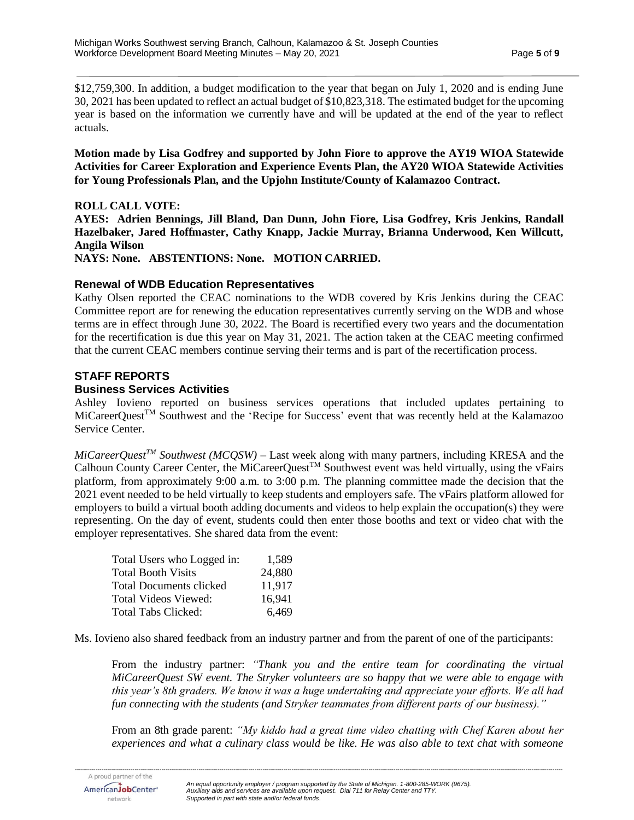\$12,759,300. In addition, a budget modification to the year that began on July 1, 2020 and is ending June 30, 2021 has been updated to reflect an actual budget of \$10,823,318. The estimated budget for the upcoming year is based on the information we currently have and will be updated at the end of the year to reflect actuals.

**Motion made by Lisa Godfrey and supported by John Fiore to approve the AY19 WIOA Statewide Activities for Career Exploration and Experience Events Plan, the AY20 WIOA Statewide Activities for Young Professionals Plan, and the Upjohn Institute/County of Kalamazoo Contract.**

#### **ROLL CALL VOTE:**

**AYES: Adrien Bennings, Jill Bland, Dan Dunn, John Fiore, Lisa Godfrey, Kris Jenkins, Randall Hazelbaker, Jared Hoffmaster, Cathy Knapp, Jackie Murray, Brianna Underwood, Ken Willcutt, Angila Wilson**

**NAYS: None. ABSTENTIONS: None. MOTION CARRIED.**

# **Renewal of WDB Education Representatives**

Kathy Olsen reported the CEAC nominations to the WDB covered by Kris Jenkins during the CEAC Committee report are for renewing the education representatives currently serving on the WDB and whose terms are in effect through June 30, 2022. The Board is recertified every two years and the documentation for the recertification is due this year on May 31, 2021. The action taken at the CEAC meeting confirmed that the current CEAC members continue serving their terms and is part of the recertification process.

# **STAFF REPORTS**

### **Business Services Activities**

Ashley Iovieno reported on business services operations that included updates pertaining to MiCareerQuest<sup>TM</sup> Southwest and the 'Recipe for Success' event that was recently held at the Kalamazoo Service Center.

*MiCareerQuestTM Southwest (MCQSW)* – Last week along with many partners, including KRESA and the Calhoun County Career Center, the MiCareerQuest<sup>TM</sup> Southwest event was held virtually, using the vFairs platform, from approximately 9:00 a.m. to 3:00 p.m. The planning committee made the decision that the 2021 event needed to be held virtually to keep students and employers safe. The vFairs platform allowed for employers to build a virtual booth adding documents and videos to help explain the occupation(s) they were representing. On the day of event, students could then enter those booths and text or video chat with the employer representatives. She shared data from the event:

| Total Users who Logged in: | 1,589  |
|----------------------------|--------|
| Total Booth Visits         | 24,880 |
| Total Documents clicked    | 11.917 |
| Total Videos Viewed:       | 16,941 |
| Total Tabs Clicked:        | 6.469  |

Ms. Iovieno also shared feedback from an industry partner and from the parent of one of the participants:

From the industry partner: *"Thank you and the entire team for coordinating the virtual MiCareerQuest SW event. The Stryker volunteers are so happy that we were able to engage with this year's 8th graders. We know it was a huge undertaking and appreciate your efforts. We all had fun connecting with the students (and Stryker teammates from different parts of our business)."*

From an 8th grade parent: *"My kiddo had a great time video chatting with Chef Karen about her experiences and what a culinary class would be like. He was also able to text chat with someone*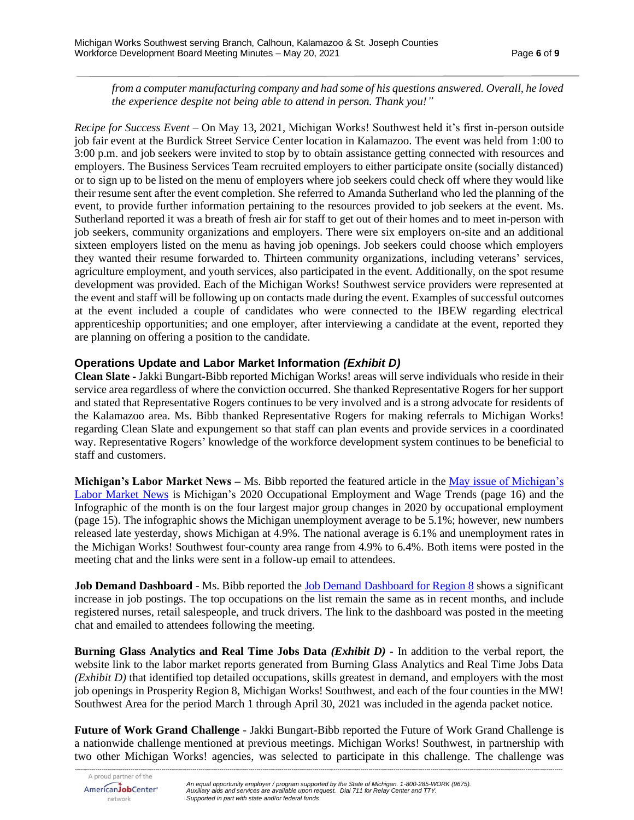*from a computer manufacturing company and had some of his questions answered. Overall, he loved the experience despite not being able to attend in person. Thank you!"*

*Recipe for Success Event* – On May 13, 2021, Michigan Works! Southwest held it's first in-person outside job fair event at the Burdick Street Service Center location in Kalamazoo. The event was held from 1:00 to 3:00 p.m. and job seekers were invited to stop by to obtain assistance getting connected with resources and employers. The Business Services Team recruited employers to either participate onsite (socially distanced) or to sign up to be listed on the menu of employers where job seekers could check off where they would like their resume sent after the event completion. She referred to Amanda Sutherland who led the planning of the event, to provide further information pertaining to the resources provided to job seekers at the event. Ms. Sutherland reported it was a breath of fresh air for staff to get out of their homes and to meet in-person with job seekers, community organizations and employers. There were six employers on-site and an additional sixteen employers listed on the menu as having job openings. Job seekers could choose which employers they wanted their resume forwarded to. Thirteen community organizations, including veterans' services, agriculture employment, and youth services, also participated in the event. Additionally, on the spot resume development was provided. Each of the Michigan Works! Southwest service providers were represented at the event and staff will be following up on contacts made during the event. Examples of successful outcomes at the event included a couple of candidates who were connected to the IBEW regarding electrical apprenticeship opportunities; and one employer, after interviewing a candidate at the event, reported they are planning on offering a position to the candidate.

### **Operations Update and Labor Market Information** *(Exhibit D)*

**Clean Slate -** Jakki Bungart-Bibb reported Michigan Works! areas will serve individuals who reside in their service area regardless of where the conviction occurred. She thanked Representative Rogers for her support and stated that Representative Rogers continues to be very involved and is a strong advocate for residents of the Kalamazoo area. Ms. Bibb thanked Representative Rogers for making referrals to Michigan Works! regarding Clean Slate and expungement so that staff can plan events and provide services in a coordinated way. Representative Rogers' knowledge of the workforce development system continues to be beneficial to staff and customers.

**Michigan's Labor Market News –** Ms. Bibb reported the featured article in the May issue [of Michigan's](https://milmi.org/Portals/198/publications/News/LMN/LMN_0521.pdf?ver=2021-04-29-140459-753)  [Labor Market News](https://milmi.org/Portals/198/publications/News/LMN/LMN_0521.pdf?ver=2021-04-29-140459-753) is Michigan's 2020 Occupational Employment and Wage Trends (page 16) and the Infographic of the month is on the four largest major group changes in 2020 by occupational employment (page 15). The infographic shows the Michigan unemployment average to be 5.1%; however, new numbers released late yesterday, shows Michigan at 4.9%. The national average is 6.1% and unemployment rates in the Michigan Works! Southwest four-county area range from 4.9% to 6.4%. Both items were posted in the meeting chat and the links were sent in a follow-up email to attendees.

**Job Demand Dashboard** - Ms. Bibb reported the [Job Demand Dashboard for Region 8](https://app.powerbigov.us/view?r=eyJrIjoiOTc1OWQ5OWItODVmYi00Y2IyLWExMjYtYjkzOTc0OWZlMTcwIiwidCI6ImQ1ZmI3MDg3LTM3NzctNDJhZC05NjZhLTg5MmVmNDcyMjVkMSJ9&pageName=ReportSection3ea51ac6802356c9f464) shows a significant increase in job postings. The top occupations on the list remain the same as in recent months, and include registered nurses, retail salespeople, and truck drivers. The link to the dashboard was posted in the meeting chat and emailed to attendees following the meeting.

**Burning Glass Analytics and Real Time Jobs Data** *(Exhibit D) -* In addition to the verbal report, the website link to the labor market reports generated from Burning Glass Analytics and Real Time Jobs Data *(Exhibit D)* that identified top detailed occupations, skills greatest in demand, and employers with the most job openings in Prosperity Region 8, Michigan Works! Southwest, and each of the four counties in the MW! Southwest Area for the period March 1 through April 30, 2021 was included in the agenda packet notice.

**Future of Work Grand Challenge** - Jakki Bungart-Bibb reported the Future of Work Grand Challenge is a nationwide challenge mentioned at previous meetings. Michigan Works! Southwest, in partnership with two other Michigan Works! agencies, was selected to participate in this challenge. The challenge was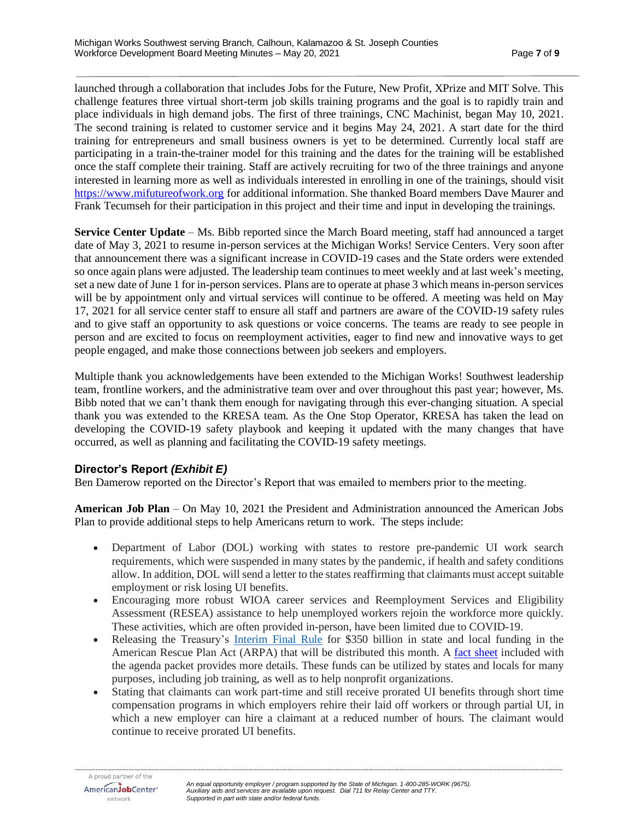launched through a collaboration that includes Jobs for the Future, New Profit, XPrize and MIT Solve. This challenge features three virtual short-term job skills training programs and the goal is to rapidly train and place individuals in high demand jobs. The first of three trainings, CNC Machinist, began May 10, 2021. The second training is related to customer service and it begins May 24, 2021. A start date for the third training for entrepreneurs and small business owners is yet to be determined. Currently local staff are participating in a train-the-trainer model for this training and the dates for the training will be established once the staff complete their training. Staff are actively recruiting for two of the three trainings and anyone interested in learning more as well as individuals interested in enrolling in one of the trainings, should visit [https://www.mifutureofwork.org](https://www.mifutureofwork.org/) for additional information. She thanked Board members Dave Maurer and Frank Tecumseh for their participation in this project and their time and input in developing the trainings.

**Service Center Update** – Ms. Bibb reported since the March Board meeting, staff had announced a target date of May 3, 2021 to resume in-person services at the Michigan Works! Service Centers. Very soon after that announcement there was a significant increase in COVID-19 cases and the State orders were extended so once again plans were adjusted. The leadership team continues to meet weekly and at last week's meeting, set a new date of June 1 for in-person services. Plans are to operate at phase 3 which means in-person services will be by appointment only and virtual services will continue to be offered. A meeting was held on May 17, 2021 for all service center staff to ensure all staff and partners are aware of the COVID-19 safety rules and to give staff an opportunity to ask questions or voice concerns. The teams are ready to see people in person and are excited to focus on reemployment activities, eager to find new and innovative ways to get people engaged, and make those connections between job seekers and employers.

Multiple thank you acknowledgements have been extended to the Michigan Works! Southwest leadership team, frontline workers, and the administrative team over and over throughout this past year; however, Ms. Bibb noted that we can't thank them enough for navigating through this ever-changing situation. A special thank you was extended to the KRESA team. As the One Stop Operator, KRESA has taken the lead on developing the COVID-19 safety playbook and keeping it updated with the many changes that have occurred, as well as planning and facilitating the COVID-19 safety meetings.

# **Director's Report** *(Exhibit E)*

Ben Damerow reported on the Director's Report that was emailed to members prior to the meeting.

**American Job Plan** – On May 10, 2021 the President and Administration announced the American Jobs Plan to provide additional steps to help Americans return to work. The steps include:

- Department of Labor (DOL) working with states to restore pre-pandemic UI work search requirements, which were suspended in many states by the pandemic, if health and safety conditions allow. In addition, DOL will send a letter to the states reaffirming that claimants must accept suitable employment or risk losing UI benefits.
- Encouraging more robust WIOA career services and Reemployment Services and Eligibility Assessment (RESEA) assistance to help unemployed workers rejoin the workforce more quickly. These activities, which are often provided in-person, have been limited due to COVID-19.
- Releasing the Treasury's [Interim](https://home.treasury.gov/system/files/136/FRF-Interim-Final-Rule.pdf) Final Rule for \$350 billion in state and local funding in the American Rescue Plan Act (ARPA) that will be distributed this month. A fact [sheet](https://home.treasury.gov/system/files/136/SLFRP-Fact-Sheet-FINAL1-508A.pdf) included with the agenda packet provides more details. These funds can be utilized by states and locals for many purposes, including job training, as well as to help nonprofit organizations.
- Stating that claimants can work part-time and still receive prorated UI benefits through short time compensation programs in which employers rehire their laid off workers or through partial UI, in which a new employer can hire a claimant at a reduced number of hours. The claimant would continue to receive prorated UI benefits.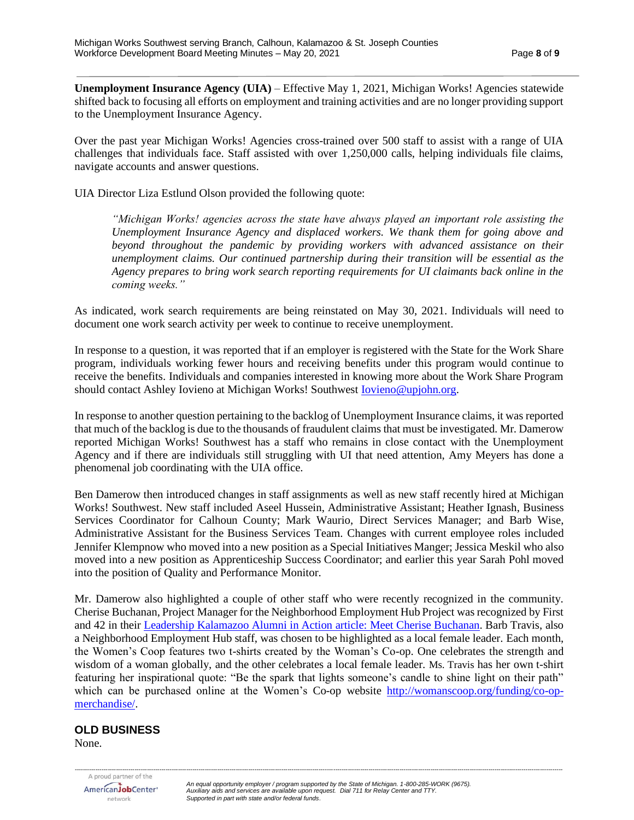**Unemployment Insurance Agency (UIA)** – Effective May 1, 2021, Michigan Works! Agencies statewide shifted back to focusing all efforts on employment and training activities and are no longer providing support to the Unemployment Insurance Agency.

Over the past year Michigan Works! Agencies cross-trained over 500 staff to assist with a range of UIA challenges that individuals face. Staff assisted with over 1,250,000 calls, helping individuals file claims, navigate accounts and answer questions.

UIA Director Liza Estlund Olson provided the following quote:

*"Michigan Works! agencies across the state have always played an important role assisting the Unemployment Insurance Agency and displaced workers. We thank them for going above and beyond throughout the pandemic by providing workers with advanced assistance on their unemployment claims. Our continued partnership during their transition will be essential as the Agency prepares to bring work search reporting requirements for UI claimants back online in the coming weeks."*

As indicated, work search requirements are being reinstated on May 30, 2021. Individuals will need to document one work search activity per week to continue to receive unemployment.

In response to a question, it was reported that if an employer is registered with the State for the Work Share program, individuals working fewer hours and receiving benefits under this program would continue to receive the benefits. Individuals and companies interested in knowing more about the Work Share Program should contact Ashley Iovieno at Michigan Works! Southwest **Iovieno@upjohn.org**.

In response to another question pertaining to the backlog of Unemployment Insurance claims, it was reported that much of the backlog is due to the thousands of fraudulent claims that must be investigated. Mr. Damerow reported Michigan Works! Southwest has a staff who remains in close contact with the Unemployment Agency and if there are individuals still struggling with UI that need attention, Amy Meyers has done a phenomenal job coordinating with the UIA office.

Ben Damerow then introduced changes in staff assignments as well as new staff recently hired at Michigan Works! Southwest. New staff included Aseel Hussein, Administrative Assistant; Heather Ignash, Business Services Coordinator for Calhoun County; Mark Waurio, Direct Services Manager; and Barb Wise, Administrative Assistant for the Business Services Team. Changes with current employee roles included Jennifer Klempnow who moved into a new position as a Special Initiatives Manger; Jessica Meskil who also moved into a new position as Apprenticeship Success Coordinator; and earlier this year Sarah Pohl moved into the position of Quality and Performance Monitor.

Mr. Damerow also highlighted a couple of other staff who were recently recognized in the community. Cherise Buchanan, Project Manager for the Neighborhood Employment Hub Project was recognized by First and 42 in their [Leadership Kalamazoo Alumni in Action](https://firstand42.media/leadership-kalamazoo-alumni-in-action-meet-cherise-buchanan/?utm_medium=email&utm_source=sharpspring&sslid=M7MwNTAyMrMwMjQ0BQA&sseid=MzIyMjYxMjU1tgQA&jobid=831f68d3-ff48-43ee-ae3f-21cba6b5082e) article: Meet Cherise Buchanan. Barb Travis, also a Neighborhood Employment Hub staff, was chosen to be highlighted as a local female leader. Each month, the Women's Coop features two t-shirts created by the Woman's Co-op. One celebrates the strength and wisdom of a woman globally, and the other celebrates a local female leader. Ms. Travis has her own t-shirt featuring her inspirational quote: "Be the spark that lights someone's candle to shine light on their path" which can be purchased online at the Women's Co-op website [http://womanscoop.org/funding/co-op](http://womanscoop.org/funding/co-op-merchandise/)[merchandise/.](http://womanscoop.org/funding/co-op-merchandise/)

#### **OLD BUSINESS**

None.